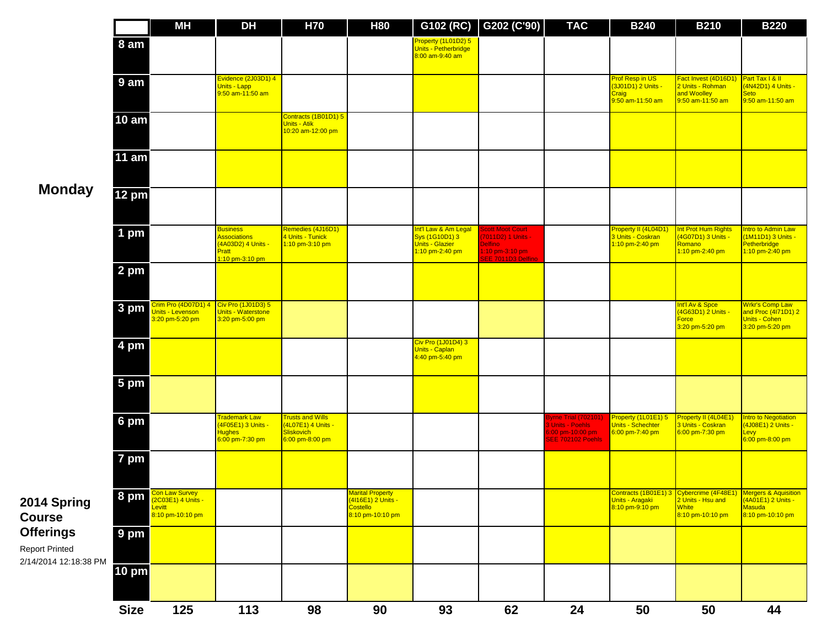|                                                                    |              | <b>MH</b>                                                          | <b>DH</b>                                                                                | <b>H70</b>                                                                            | <b>H80</b>                                                                    | G102 (RC)                                                                           | G202 (C'90)                                                                                              | <b>TAC</b>                                                                              | <b>B240</b>                                                                    | <b>B210</b>                                                                   | <b>B220</b>                                                                                 |
|--------------------------------------------------------------------|--------------|--------------------------------------------------------------------|------------------------------------------------------------------------------------------|---------------------------------------------------------------------------------------|-------------------------------------------------------------------------------|-------------------------------------------------------------------------------------|----------------------------------------------------------------------------------------------------------|-----------------------------------------------------------------------------------------|--------------------------------------------------------------------------------|-------------------------------------------------------------------------------|---------------------------------------------------------------------------------------------|
|                                                                    | 8 am         |                                                                    |                                                                                          |                                                                                       |                                                                               | Property (1L01D2) 5<br>Units - Petherbridge<br>8:00 am-9:40 am                      |                                                                                                          |                                                                                         |                                                                                |                                                                               |                                                                                             |
|                                                                    | 9 am         |                                                                    | Evidence (2J03D1) 4<br>Units - Lapp<br>9:50 am-11:50 am                                  |                                                                                       |                                                                               |                                                                                     |                                                                                                          |                                                                                         | Prof Resp in US<br>(3J01D1) 2 Units -<br><b>Craig</b><br>9:50 am-11:50 am      | Fact Invest (4D16D1)<br>2 Units - Rohman<br>and Woolley<br>$9:50$ am-11:50 am | Part Tax   & II<br>(4N42D1) 4 Units -<br><b>Seto</b><br>9:50 am-11:50 am                    |
|                                                                    | <b>10 am</b> |                                                                    |                                                                                          | Contracts (1B01D1) 5<br>Units - Atik<br>10:20 am-12:00 pm                             |                                                                               |                                                                                     |                                                                                                          |                                                                                         |                                                                                |                                                                               |                                                                                             |
|                                                                    | <b>11 am</b> |                                                                    |                                                                                          |                                                                                       |                                                                               |                                                                                     |                                                                                                          |                                                                                         |                                                                                |                                                                               |                                                                                             |
| <b>Monday</b>                                                      | <b>12 pm</b> |                                                                    |                                                                                          |                                                                                       |                                                                               |                                                                                     |                                                                                                          |                                                                                         |                                                                                |                                                                               |                                                                                             |
|                                                                    | 1 pm         |                                                                    | <b>Business</b><br><b>Associations</b><br>(4A03D2) 4 Units -<br>Pratt<br>1:10 pm-3:10 pm | Remedies (4J16D1)<br>4 Units - Tunick<br>1:10 pm-3:10 pm                              |                                                                               | Int'l Law & Am Legal<br>Sys (1G10D1) 3<br><b>Units - Glazier</b><br>1:10 pm-2:40 pm | <b>Scott Moot Court</b><br>(7011D2) 1 Units -<br><b>Delfino</b><br>1:10 pm-3:10 pm<br>SEE 7011D3 Delfino |                                                                                         | Property II (4L04D1)<br>3 Units - Coskran<br>1:10 pm-2:40 pm                   | Int Prot Hum Rights<br>(4G07D1) 3 Units -<br>Romano<br>1:10 pm-2:40 pm        | <b>Intro to Admin Law</b><br>(1M11D1) 3 Units -<br>Petherbridge<br>1:10 pm-2:40 pm          |
|                                                                    | 2 pm         |                                                                    |                                                                                          |                                                                                       |                                                                               |                                                                                     |                                                                                                          |                                                                                         |                                                                                |                                                                               |                                                                                             |
|                                                                    | 3 pm         | <b>Crim Pro (4D07D1) 4</b><br>Jnits - Levenson<br>3:20 pm-5:20 pm  | Civ Pro (1J01D3) 5<br>Units - Waterstone<br>3:20 pm-5:00 pm                              |                                                                                       |                                                                               |                                                                                     |                                                                                                          |                                                                                         |                                                                                | Int'l Av & Spce<br>4G63D1) 2 Units -<br>Force<br>3:20 pm-5:20 pm              | Wrkr's Comp Law<br>and Proc (4171D1) 2<br>Units - Cohen<br>3:20 pm-5:20 pm                  |
|                                                                    | 4 pm         |                                                                    |                                                                                          |                                                                                       |                                                                               | Civ Pro (1J01D4) 3<br><b>Units - Caplan</b><br>4:40 pm-5:40 pm                      |                                                                                                          |                                                                                         |                                                                                |                                                                               |                                                                                             |
|                                                                    | 5 pm         |                                                                    |                                                                                          |                                                                                       |                                                                               |                                                                                     |                                                                                                          |                                                                                         |                                                                                |                                                                               |                                                                                             |
|                                                                    | 6 pm         |                                                                    | <b>Trademark Law</b><br>4F05E1) 3 Units -<br><b>Hughes</b><br>6:00 pm-7:30 pm            | <b>Trusts and Wills</b><br>(4L07E1) 4 Units -<br><b>Sliskovich</b><br>6:00 pm-8:00 pm |                                                                               |                                                                                     |                                                                                                          | Byrne Trial (702101<br><b>3 Units - Poehls</b><br>6:00 pm-10:00 pm<br>SEE 702102 Poehls | Property (1L01E1) 5<br>Units - Schechter<br>6:00 pm-7:40 pm                    | Property II (4L04E1)<br>3 Units - Coskran<br>6:00 pm-7:30 pm                  | Intro to Negotiation<br>(4J08E1) 2 Units -<br>Levy (1988)<br>6:00 pm-8:00 pm <mark>(</mark> |
|                                                                    | 7 pm         |                                                                    |                                                                                          |                                                                                       |                                                                               |                                                                                     |                                                                                                          |                                                                                         |                                                                                |                                                                               |                                                                                             |
| 2014 Spring<br><b>Course</b>                                       | 8 pm         | Con Law Survey<br>(2C03E1) 4 Units -<br>Levitt<br>8:10 pm-10:10 pm |                                                                                          |                                                                                       | <b>Marital Property</b><br>(4l16E1) 2 Units -<br>Costello<br>8:10 pm-10:10 pm |                                                                                     |                                                                                                          |                                                                                         | Contracts (1B01E1) 3 Cybercrime (4F48E1)<br>Units - Aragaki<br>8:10 pm-9:10 pm | 2 Units - Hsu and<br><b>White</b><br>8:10 pm-10:10 pm                         | <b>Mergers &amp; Aquisition</b><br>(4A01E1) 2 Units -<br>Masuda<br>8:10 pm-10:10 pm         |
| <b>Offerings</b><br><b>Report Printed</b><br>2/14/2014 12:18:38 PM | 9 pm         |                                                                    |                                                                                          |                                                                                       |                                                                               |                                                                                     |                                                                                                          |                                                                                         |                                                                                |                                                                               |                                                                                             |
|                                                                    | <b>10 pm</b> |                                                                    |                                                                                          |                                                                                       |                                                                               |                                                                                     |                                                                                                          |                                                                                         |                                                                                |                                                                               |                                                                                             |
|                                                                    | <b>Size</b>  | 125                                                                | 113                                                                                      | 98                                                                                    | 90                                                                            | 93                                                                                  | 62                                                                                                       | 24                                                                                      | 50                                                                             | 50                                                                            | 44                                                                                          |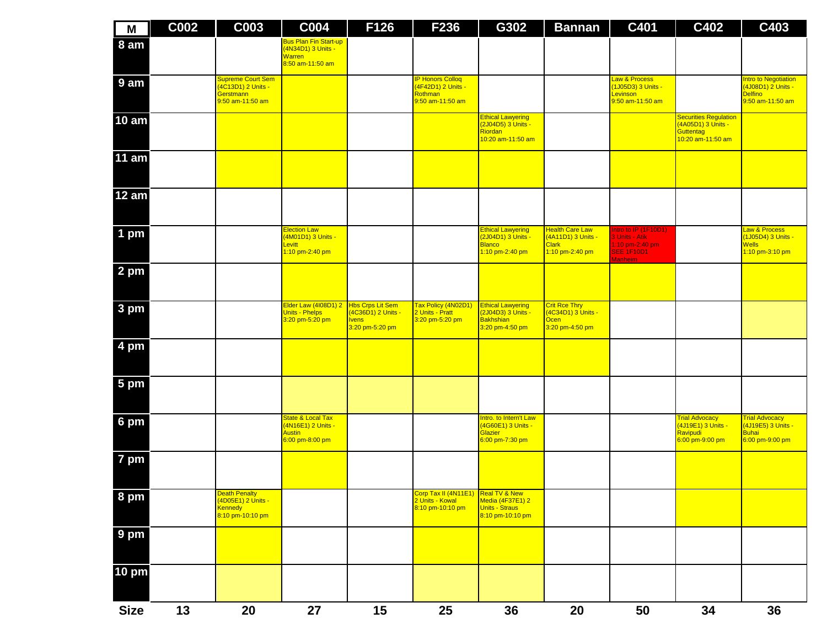| M            | <b>C002</b> | <b>C003</b>                                                                     | <b>C004</b>                                                                      | F126                                                  | F236                                                                         | G302                                                                                  | <b>Bannan</b>                                                                   | C401                                                                                        | C402                                                                                 | C403                                                                             |
|--------------|-------------|---------------------------------------------------------------------------------|----------------------------------------------------------------------------------|-------------------------------------------------------|------------------------------------------------------------------------------|---------------------------------------------------------------------------------------|---------------------------------------------------------------------------------|---------------------------------------------------------------------------------------------|--------------------------------------------------------------------------------------|----------------------------------------------------------------------------------|
| 8 am         |             |                                                                                 | <b>Bus Plan Fin Start-up</b><br>(4N34D1) 3 Units -<br>Warren<br>8:50 am-11:50 am |                                                       |                                                                              |                                                                                       |                                                                                 |                                                                                             |                                                                                      |                                                                                  |
| 9 am         |             | <b>Supreme Court Sem</b><br>(4C13D1) 2 Units -<br>Gerstmann<br>9:50 am-11:50 am |                                                                                  |                                                       | <b>IP Honors Colloq</b><br>(4F42D1) 2 Units -<br>Rothman<br>9:50 am-11:50 am |                                                                                       |                                                                                 | Law & Process<br>(1J05D3) 3 Units -<br>Levinson<br>9:50 am-11:50 am                         |                                                                                      | Intro to Negotiation<br>(4J08D1) 2 Units -<br><b>Delfino</b><br>9:50 am-11:50 am |
| <b>10 am</b> |             |                                                                                 |                                                                                  |                                                       |                                                                              | <b>Ethical Lawyering</b><br>(2J04D5) 3 Units -<br>Riordan<br>10:20 am-11:50 am        |                                                                                 |                                                                                             | <b>Securities Regulation</b><br>(4A05D1) 3 Units -<br>Guttentag<br>10:20 am-11:50 am |                                                                                  |
| <b>11 am</b> |             |                                                                                 |                                                                                  |                                                       |                                                                              |                                                                                       |                                                                                 |                                                                                             |                                                                                      |                                                                                  |
| <b>12 am</b> |             |                                                                                 |                                                                                  |                                                       |                                                                              |                                                                                       |                                                                                 |                                                                                             |                                                                                      |                                                                                  |
| 1 pm         |             |                                                                                 | <b>Election Law</b><br>(4M01D1) 3 Units -<br>Levitt<br>1:10 pm-2:40 pm           |                                                       |                                                                              | <b>Ethical Lawyering</b><br>(2J04D1) 3 Units -<br><b>Blanco</b><br>1:10 pm-2:40 pm    | <b>Health Care Law</b><br>(4A11D1) 3 Units -<br><b>Clark</b><br>1:10 pm-2:40 pm | Intro to IP (1F10D1)<br>3 Units - Atik<br>$1:10$ pm-2:40 pm<br><b>SEE 1F10D1</b><br>Manheim |                                                                                      | Law & Process<br>(1J05D4) 3 Units -<br><b>Wells</b><br>1:10 pm-3:10 pm           |
| 2 pm         |             |                                                                                 |                                                                                  |                                                       |                                                                              |                                                                                       |                                                                                 |                                                                                             |                                                                                      |                                                                                  |
| 3 pm         |             |                                                                                 | Elder Law (4108D1) 2 Hbs Crps Lit Sem<br>Units - Phelps<br>3:20 pm-5:20 pm       | (4C36D1) 2 Units -<br><b>Ivens</b><br>3:20 pm-5:20 pm | Tax Policy (4N02D1)<br>2 Units - Pratt<br>3:20 pm-5:20 pm                    | <b>Ethical Lawyering</b><br>(2J04D3) 3 Units -<br><b>Bakhshian</b><br>3:20 pm-4:50 pm | <b>Crit Rce Thry</b><br>(4C34D1) 3 Units -<br>Ocen<br>3:20 pm-4:50 pm           |                                                                                             |                                                                                      |                                                                                  |
| 4 pm         |             |                                                                                 |                                                                                  |                                                       |                                                                              |                                                                                       |                                                                                 |                                                                                             |                                                                                      |                                                                                  |
| 5 pm         |             |                                                                                 |                                                                                  |                                                       |                                                                              |                                                                                       |                                                                                 |                                                                                             |                                                                                      |                                                                                  |
| 6 pm         |             |                                                                                 | State & Local Tax<br>(4N16E1) 2 Units -<br><b>Austin</b><br>6:00 pm-8:00 pm      |                                                       |                                                                              | Intro. to Intern't Law<br>(4G60E1) 3 Units -<br>Glazier<br>6:00 pm-7:30 pm            |                                                                                 |                                                                                             | <b>Frial Advocacy</b><br>(4J19E1) 3 Units -<br>Ravipudi<br>6:00 pm-9:00 pm           | <b>Trial Advocacy</b><br>(4J19E5) 3 Units -<br><b>Buhai</b><br>6:00 pm-9:00 pm   |
| 7 pm         |             |                                                                                 |                                                                                  |                                                       |                                                                              |                                                                                       |                                                                                 |                                                                                             |                                                                                      |                                                                                  |
| 8 pm         |             | <b>Death Penalty</b><br>(4D05E1) 2 Units -<br>Kennedy<br>8:10 pm-10:10 pm       |                                                                                  |                                                       | Corp Tax II (4N11E1) Real TV & New<br>2 Units - Kowal<br>8:10 pm-10:10 pm    | Media (4F37E1) 2<br>Units - Straus<br>8:10 pm-10:10 pm                                |                                                                                 |                                                                                             |                                                                                      |                                                                                  |
| 9 pm         |             |                                                                                 |                                                                                  |                                                       |                                                                              |                                                                                       |                                                                                 |                                                                                             |                                                                                      |                                                                                  |
| 10 pm        |             |                                                                                 |                                                                                  |                                                       |                                                                              |                                                                                       |                                                                                 |                                                                                             |                                                                                      |                                                                                  |
| <b>Size</b>  | 13          | 20                                                                              | 27                                                                               | 15                                                    | 25                                                                           | 36                                                                                    | 20                                                                              | 50                                                                                          | 34                                                                                   | 36                                                                               |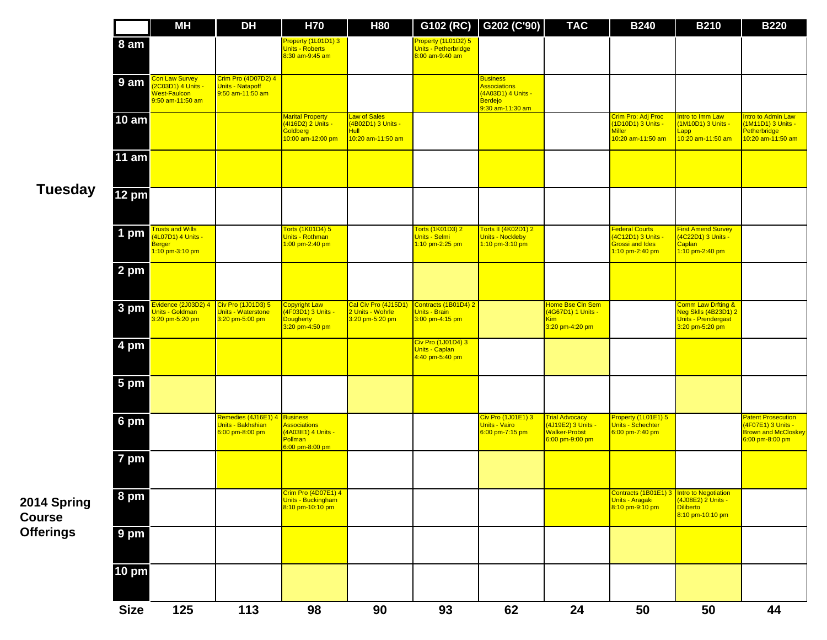|    |                 | <b>MH</b>                                                                        | <b>DH</b>                                                            | <b>H70</b>                                                                        | <b>H80</b>                                                      |                                                                 | G102 (RC) G202 (C'90)                                                                              | <b>TAC</b>                                                                             | <b>B240</b>                                                                     | <b>B210</b>                                                                                            | <b>B220</b>                                                                                      |
|----|-----------------|----------------------------------------------------------------------------------|----------------------------------------------------------------------|-----------------------------------------------------------------------------------|-----------------------------------------------------------------|-----------------------------------------------------------------|----------------------------------------------------------------------------------------------------|----------------------------------------------------------------------------------------|---------------------------------------------------------------------------------|--------------------------------------------------------------------------------------------------------|--------------------------------------------------------------------------------------------------|
|    | 8 am            |                                                                                  |                                                                      | Property (1L01D1) 3<br><b>Units - Roberts</b><br>8:30 am-9:45 am                  |                                                                 | Property (1L01D2) 5<br>Units - Petherbridge<br>8:00 am-9:40 am  |                                                                                                    |                                                                                        |                                                                                 |                                                                                                        |                                                                                                  |
|    | 9 <sub>am</sub> | Con Law Survey<br>2C03D1) 4 Units -<br>West-Faulcon<br>9:50 am-11:50 am          | Crim Pro (4D07D2) 4<br><b>Units - Natapoff</b><br>9:50 am-11:50 am   |                                                                                   |                                                                 |                                                                 | <b>Business</b><br><b>Associations</b><br>(4A03D1) 4 Units -<br><b>Berdejo</b><br>9:30 am-11:30 am |                                                                                        |                                                                                 |                                                                                                        |                                                                                                  |
|    | 10 am           |                                                                                  |                                                                      | <b>Marital Property</b><br>(4116D2) 2 Units -<br>Goldberg<br>10:00 am-12:00 pm    | Law of Sales<br>(4B02D1) 3 Units -<br>Hull<br>10:20 am-11:50 am |                                                                 |                                                                                                    |                                                                                        | Crim Pro: Adj Proc<br>(1D10D1) 3 Units -<br>Miller<br>10:20 am-11:50 am         | Intro to Imm Law<br>(1M10D1) 3 Units -<br>Lapp<br>10:20 am-11:50 am                                    | Intro to Admin Law<br>(1M11D1) 3 Units -<br>Petherbridge<br>10:20 am-11:50 am                    |
|    | <b>11 am</b>    |                                                                                  |                                                                      |                                                                                   |                                                                 |                                                                 |                                                                                                    |                                                                                        |                                                                                 |                                                                                                        |                                                                                                  |
| зу | 12 pm           |                                                                                  |                                                                      |                                                                                   |                                                                 |                                                                 |                                                                                                    |                                                                                        |                                                                                 |                                                                                                        |                                                                                                  |
|    | 1 pm            | <b>Trusts and Wills</b><br>4L07D1) 4 Units -<br><b>Berger</b><br>1:10 pm-3:10 pm |                                                                      | Torts (1K01D4) 5<br>Units - Rothman<br>1:00 pm-2:40 pm                            |                                                                 | Torts (1K01D3) 2<br>Units - Selmi<br>1:10 pm-2:25 pm            | Torts II (4K02D1) 2<br><b>Units - Nockleby</b><br>1:10 pm-3:10 pm                                  |                                                                                        | Federal Courts<br>(4C12D1) 3 Units -<br>Grossi and Ides<br>1:10 pm-2:40 pm      | <b>First Amend Survey</b><br>(4C22D1) 3 Units -<br>Caplan<br>1:10 pm-2:40 pm                           |                                                                                                  |
|    | 2 pm            |                                                                                  |                                                                      |                                                                                   |                                                                 |                                                                 |                                                                                                    |                                                                                        |                                                                                 |                                                                                                        |                                                                                                  |
|    | 3 pm            | Evidence (2J03D2) 4<br>Units - Goldman<br>3:20 pm-5:20 pm                        | Civ Pro (1J01D3) 5<br>Units - Waterstone<br>3:20 pm-5:00 pm          | <b>Copyright Law</b><br>(4F03D1) 3 Units -<br><b>Dougherty</b><br>3:20 pm-4:50 pm | Cal Civ Pro (4J15D1)<br>2 Units - Wohrle<br>3:20 pm-5:20 pm     | Contracts (1B01D4) 2<br><b>Units - Brain</b><br>3:00 pm-4:15 pm |                                                                                                    | Home Bse Cln Sem<br>4G67D1) 1 Units -<br>Kim<br>3:20 pm-4:20 pm                        |                                                                                 | <b>Comm Law Drfting &amp;</b><br>Neg Sklls (4B23D1) 2<br><b>Units - Prendergast</b><br>3:20 pm-5:20 pm |                                                                                                  |
|    | 4 pm            |                                                                                  |                                                                      |                                                                                   |                                                                 | Civ Pro (1J01D4) 3<br>Units - Caplan<br>4:40 pm-5:40 pm         |                                                                                                    |                                                                                        |                                                                                 |                                                                                                        |                                                                                                  |
|    | 5 pm            |                                                                                  |                                                                      |                                                                                   |                                                                 |                                                                 |                                                                                                    |                                                                                        |                                                                                 |                                                                                                        |                                                                                                  |
|    | 6 pm            |                                                                                  | Remedies (4J16E1) 4 Business<br>Units - Bakhshian<br>6:00 pm-8:00 pm | <b>Associations</b><br>(4A03E1) 4 Units -<br>Pollman<br>6:00 pm-8:00 pm           |                                                                 |                                                                 | Civ Pro (1J01E1) 3<br><b>Units - Vairo</b><br>6:00 pm-7:15 pm                                      | <b>Trial Advocacy</b><br>(4J19E2) 3 Units -<br><b>Walker-Probst</b><br>6:00 pm-9:00 pm | Property (1L01E1) 5<br><b>Units - Schechter</b><br>6:00 pm-7:40 pm              |                                                                                                        | <b>Patent Prosecution</b><br>(4F07E1) 3 Units -<br><b>Brown and McCloskey</b><br>6:00 pm-8:00 pm |
|    | 7 pm            |                                                                                  |                                                                      |                                                                                   |                                                                 |                                                                 |                                                                                                    |                                                                                        |                                                                                 |                                                                                                        |                                                                                                  |
| g  | 8 pm            |                                                                                  |                                                                      | Crim Pro (4D07E1) 4<br>Units - Buckingham<br>8:10 pm-10:10 pm                     |                                                                 |                                                                 |                                                                                                    |                                                                                        | Contracts (1B01E1) 3 Intro to Negotiation<br>Units - Aragaki<br>8:10 pm-9:10 pm | (4J08E2) 2 Units -<br><b>Diliberto</b><br>8:10 pm-10:10 pm                                             |                                                                                                  |
|    | 9 pm            |                                                                                  |                                                                      |                                                                                   |                                                                 |                                                                 |                                                                                                    |                                                                                        |                                                                                 |                                                                                                        |                                                                                                  |
|    | 10 pm           |                                                                                  |                                                                      |                                                                                   |                                                                 |                                                                 |                                                                                                    |                                                                                        |                                                                                 |                                                                                                        |                                                                                                  |
|    | <b>Size</b>     | 125                                                                              | 113                                                                  | 98                                                                                | 90                                                              | 93                                                              | 62                                                                                                 | 24                                                                                     | 50                                                                              | 50                                                                                                     | 44                                                                                               |

**Tuesday**

**2014 Spring Course Offerings**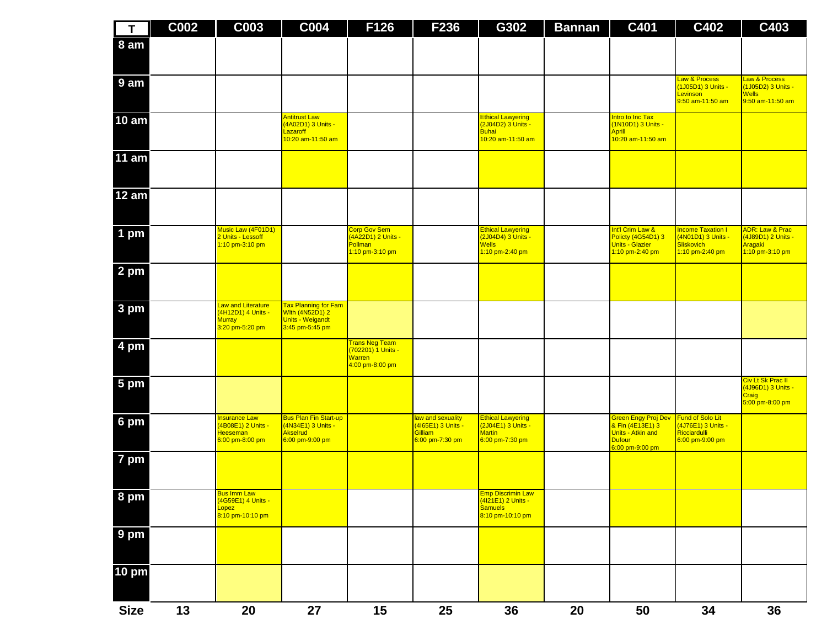| $\mathbf{T}$ | C002 | <b>C003</b>                                                                     | <b>C004</b>                                                                           | F126                                                              | F236                                                                  | G302                                                                                 | <b>Bannan</b> | C401                                                                                                    | C402                                                                             | C403                                                                    |
|--------------|------|---------------------------------------------------------------------------------|---------------------------------------------------------------------------------------|-------------------------------------------------------------------|-----------------------------------------------------------------------|--------------------------------------------------------------------------------------|---------------|---------------------------------------------------------------------------------------------------------|----------------------------------------------------------------------------------|-------------------------------------------------------------------------|
| 8 am         |      |                                                                                 |                                                                                       |                                                                   |                                                                       |                                                                                      |               |                                                                                                         |                                                                                  |                                                                         |
| 9 am         |      |                                                                                 |                                                                                       |                                                                   |                                                                       |                                                                                      |               |                                                                                                         | aw & Process<br>(1J05D1) 3 Units -<br>Levinson<br>9:50 am-11:50 am               | Law & Process<br>(1J05D2) 3 Units -<br><b>Wells</b><br>9:50 am-11:50 am |
| <b>10 am</b> |      |                                                                                 | Antitrust Law<br>(4A02D1) 3 Units -<br>Lazaroff<br>10:20 am-11:50 am                  |                                                                   |                                                                       | <b>Ethical Lawyering</b><br>(2J04D2) 3 Units -<br><b>Buhai</b><br>10:20 am-11:50 am  |               | Intro to Inc Tax<br>(1N10D1) 3 Units -<br><b>Aprill</b><br>10:20 am-11:50 am                            |                                                                                  |                                                                         |
| <b>11 am</b> |      |                                                                                 |                                                                                       |                                                                   |                                                                       |                                                                                      |               |                                                                                                         |                                                                                  |                                                                         |
| <b>12 am</b> |      |                                                                                 |                                                                                       |                                                                   |                                                                       |                                                                                      |               |                                                                                                         |                                                                                  |                                                                         |
| 1 pm         |      | Music Law (4F01D1)<br>2 Units - Lessoff<br>1:10 pm-3:10 pm                      |                                                                                       | Corp Gov Sem<br>(4A22D1) 2 Units -<br>Pollman<br>1:10 pm-3:10 pm  |                                                                       | <b>Ethical Lawyering</b><br>(2J04D4) 3 Units -<br><b>Wells</b><br>1:10 pm-2:40 pm    |               | Int'l Crim Law &<br>Policty (4G54D1) 3<br><b>Units - Glazier</b><br>1:10 pm-2:40 pm                     | <b>Income Taxation I</b><br>(4N01D1) 3 Units -<br>Sliskovich<br>1:10 pm-2:40 pm  | ADR: Law & Prac<br>(4J89D1) 2 Units -<br>Aragaki<br>1:10 pm-3:10 pm     |
| 2 pm         |      |                                                                                 |                                                                                       |                                                                   |                                                                       |                                                                                      |               |                                                                                                         |                                                                                  |                                                                         |
| 3 pm         |      | <b>Law and Literature</b><br>(4H12D1) 4 Units -<br>Murray<br>3:20 pm-5:20 pm    | <b>Tax Planning for Fam</b><br>With (4N52D1) 2<br>Units - Weigandt<br>3:45 pm-5:45 pm |                                                                   |                                                                       |                                                                                      |               |                                                                                                         |                                                                                  |                                                                         |
| 4 pm         |      |                                                                                 |                                                                                       | Trans Neg Team<br>(702201) 1 Units -<br>Warren<br>4:00 pm-8:00 pm |                                                                       |                                                                                      |               |                                                                                                         |                                                                                  |                                                                         |
| 5 pm         |      |                                                                                 |                                                                                       |                                                                   |                                                                       |                                                                                      |               |                                                                                                         |                                                                                  | Civ Lt Sk Prac II<br>(4J96D1) 3 Units -<br>Craig<br>5:00 pm-8:00 pm     |
| 6 pm         |      | <b>nsurance Law</b><br>(4B08E1) 2 Units -<br><b>Heeseman</b><br>6:00 pm-8:00 pm | <b>Bus Plan Fin Start-up</b><br>(4N34E1) 3 Units -<br>Akselrud<br>6:00 pm-9:00 pm     |                                                                   | law and sexuality<br>(4165E1) 3 Units -<br>Gilliam<br>6:00 pm-7:30 pm | <b>Ethical Lawyering</b><br>(2J04E1) 3 Units -<br><b>Martin</b><br>6:00 pm-7:30 pm   |               | Green Engy Proj Dev<br>& Fin (4E13E1) 3<br><b>Units - Atkin and</b><br><b>Dufour</b><br>6:00 pm-9:00 pm | <b>Fund of Solo Lit</b><br>(4J76E1) 3 Units -<br>Ricciardulli<br>6:00 pm-9:00 pm |                                                                         |
| 7 pm         |      |                                                                                 |                                                                                       |                                                                   |                                                                       |                                                                                      |               |                                                                                                         |                                                                                  |                                                                         |
| 8 pm         |      | <b>Bus Imm Law</b><br>(4G59E1) 4 Units -<br>Lopez<br>8:10 pm-10:10 pm           |                                                                                       |                                                                   |                                                                       | <b>Emp Discrimin Law</b><br>(4121E1) 2 Units -<br><b>Samuels</b><br>8:10 pm-10:10 pm |               |                                                                                                         |                                                                                  |                                                                         |
| 9 pm         |      |                                                                                 |                                                                                       |                                                                   |                                                                       |                                                                                      |               |                                                                                                         |                                                                                  |                                                                         |
| <b>10 pm</b> |      |                                                                                 |                                                                                       |                                                                   |                                                                       |                                                                                      |               |                                                                                                         |                                                                                  |                                                                         |
| <b>Size</b>  | 13   | 20                                                                              | 27                                                                                    | 15                                                                | 25                                                                    | 36                                                                                   | 20            | 50                                                                                                      | 34                                                                               | 36                                                                      |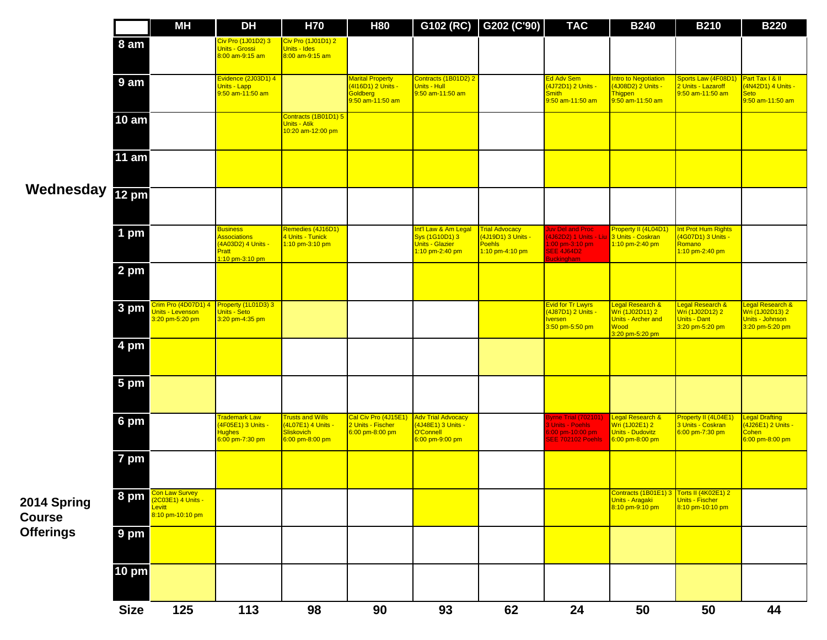|                              |                 | МH                                                                 | <b>DH</b>                                                                                       | <b>H70</b>                                                                     | <b>H80</b>                                                                    | G102 (RC)                                                                           | G202 (C'90)                                                                     | <b>TAC</b>                                                                                                              | <b>B240</b>                                                                                       | <b>B210</b>                                                                                    | <b>B220</b>                                                                            |
|------------------------------|-----------------|--------------------------------------------------------------------|-------------------------------------------------------------------------------------------------|--------------------------------------------------------------------------------|-------------------------------------------------------------------------------|-------------------------------------------------------------------------------------|---------------------------------------------------------------------------------|-------------------------------------------------------------------------------------------------------------------------|---------------------------------------------------------------------------------------------------|------------------------------------------------------------------------------------------------|----------------------------------------------------------------------------------------|
|                              | 8 am            |                                                                    | Civ Pro (1J01D2) 3<br><b>Units - Grossi</b><br>8:00 am-9:15 am                                  | Civ Pro (1J01D1) 2<br>Units - Ides<br>8:00 am-9:15 am                          |                                                                               |                                                                                     |                                                                                 |                                                                                                                         |                                                                                                   |                                                                                                |                                                                                        |
|                              | 9 am            |                                                                    | Evidence (2J03D1) 4<br>Units - Lapp<br>9:50 am-11:50 am                                         |                                                                                | <b>Marital Property</b><br>(4l16D1) 2 Units -<br>Goldberg<br>9:50 am-11:50 am | Contracts (1B01D2) 2<br>Units - Hull<br>9:50 am-11:50 am                            |                                                                                 | Ed Adv Sem<br>(4J72D1) 2 Units -<br><b>Smith</b><br>9:50 am-11:50 am                                                    | Intro to Negotiation<br>4J08D2) 2 Units -<br>Thigpen<br>9:50 am-11:50 am                          | Sports Law (4F08D1<br>2 Units - Lazaroff<br>9:50 am-11:50 am                                   | Part Tax   & II<br>(4N42D1) 4 Units -<br>Seto<br>9:50 am-11:50 am                      |
|                              | <b>10 am</b>    |                                                                    |                                                                                                 | Contracts (1B01D1) 5<br>Units - Atik<br>10:20 am-12:00 pm                      |                                                                               |                                                                                     |                                                                                 |                                                                                                                         |                                                                                                   |                                                                                                |                                                                                        |
|                              | <b>11 am</b>    |                                                                    |                                                                                                 |                                                                                |                                                                               |                                                                                     |                                                                                 |                                                                                                                         |                                                                                                   |                                                                                                |                                                                                        |
| Wednesday                    | $12 \text{ pm}$ |                                                                    |                                                                                                 |                                                                                |                                                                               |                                                                                     |                                                                                 |                                                                                                                         |                                                                                                   |                                                                                                |                                                                                        |
|                              | 1 pm            |                                                                    | <b>Business</b><br><b>Associations</b><br>(4A03D2) 4 Units -<br><b>Pratt</b><br>1:10 pm-3:10 pm | Remedies (4J16D1)<br>4 Units - Tunick<br>1:10 pm-3:10 pm                       |                                                                               | Int'l Law & Am Legal<br>Sys (1G10D1) 3<br><b>Units - Glazier</b><br>1:10 pm-2:40 pm | <b>Trial Advocacy</b><br>(4J19D1) 3 Units -<br><b>Poehls</b><br>1:10 pm-4:10 pm | Juv Del and Proc<br>4J62D2) 1 Units - Liu 3 Units - Coskran<br>:00 pm-3:10 pm<br><b>SEE 4J64D2</b><br><b>Buckingham</b> | Property II (4L04D1)<br>1:10 pm-2:40 pm                                                           | Int Prot Hum Rights<br>4G07D1) 3 Units -<br>Romano<br>1:10 pm-2:40 pm                          |                                                                                        |
|                              | 2 pm            |                                                                    |                                                                                                 |                                                                                |                                                                               |                                                                                     |                                                                                 |                                                                                                                         |                                                                                                   |                                                                                                |                                                                                        |
|                              | 3 pm            | Inits - Levenson<br>3:20 pm-5:20 pm                                | crim Pro (4D07D1) 4 Property (1L01D3) 3<br>Units - Seto<br>3:20 pm-4:35 pm                      |                                                                                |                                                                               |                                                                                     |                                                                                 | Evid for Tr Lwyrs<br><mark>(4J87D1) 2 Units ·</mark><br><b><u>Iversen</u></b><br>3:50 pm-5:50 pm                        | Legal Research &<br>Wri (1J02D11) 2<br><b>Units - Archer and</b><br>Wood<br>3:20 pm-5:20 pm       | <b>Legal Research &amp;</b><br><mark>Wri (1J02D12) 2</mark><br>Units - Dant<br>3:20 pm-5:20 pm | Legal Research &<br><mark>Wri (1J02D13) 2</mark><br>Units - Johnson<br>3:20 pm-5:20 pm |
|                              | 4 pm            |                                                                    |                                                                                                 |                                                                                |                                                                               |                                                                                     |                                                                                 |                                                                                                                         |                                                                                                   |                                                                                                |                                                                                        |
|                              | 5 pm            |                                                                    |                                                                                                 |                                                                                |                                                                               |                                                                                     |                                                                                 |                                                                                                                         |                                                                                                   |                                                                                                |                                                                                        |
|                              | 6 pm            |                                                                    | Trademark Law<br>(4F05E1) 3 Units -<br><b>Hughes</b><br>6:00 pm-7:30 pm                         | <b>Trusts and Wills</b><br>(4L07E1) 4 Units -<br>Sliskovich<br>6:00 pm-8:00 pm | Cal Civ Pro (4J15E1)<br>2 Units - Fischer<br>6:00 pm-8:00 pm                  | <b>Adv Trial Advocacy</b><br>(4J48E1) 3 Units -<br>O'Connell<br>6:00 pm-9:00 pm     |                                                                                 | Syrne Trial (702101)<br>Units - Poehls<br>6:00 pm-10:00 pm<br>SEE 702102 Poehls                                         | <b>Legal Research &amp;</b><br><mark>Wri (1J02E1) 2</mark><br>Units - Dudovitz<br>6:00 pm-8:00 pm | Property II (4L04E1)<br>3 Units - Coskran<br>6:00 pm-7:30 pm                                   | <b>Legal Drafting</b><br>(4J26E1) 2 Units -<br><b>Cohen</b><br>6:00 pm-8:00 pm         |
|                              | 7 pm            |                                                                    |                                                                                                 |                                                                                |                                                                               |                                                                                     |                                                                                 |                                                                                                                         |                                                                                                   |                                                                                                |                                                                                        |
| 2014 Spring<br><b>Course</b> | 8 pm            | Con Law Survey<br>(2C03E1) 4 Units -<br>Levitt<br>8:10 pm-10:10 pm |                                                                                                 |                                                                                |                                                                               |                                                                                     |                                                                                 |                                                                                                                         | Contracts (1B01E1) 3 Torts II (4K02E1) 2<br>Units - Aragaki<br>8:10 pm-9:10 pm                    | Units - Fischer<br>8:10 pm-10:10 pm                                                            |                                                                                        |
| <b>Offerings</b>             | 9 pm            |                                                                    |                                                                                                 |                                                                                |                                                                               |                                                                                     |                                                                                 |                                                                                                                         |                                                                                                   |                                                                                                |                                                                                        |
|                              | <b>10 pm</b>    |                                                                    |                                                                                                 |                                                                                |                                                                               |                                                                                     |                                                                                 |                                                                                                                         |                                                                                                   |                                                                                                |                                                                                        |
|                              | <b>Size</b>     | 125                                                                | 113                                                                                             | 98                                                                             | 90                                                                            | 93                                                                                  | 62                                                                              | 24                                                                                                                      | 50                                                                                                | 50                                                                                             | 44                                                                                     |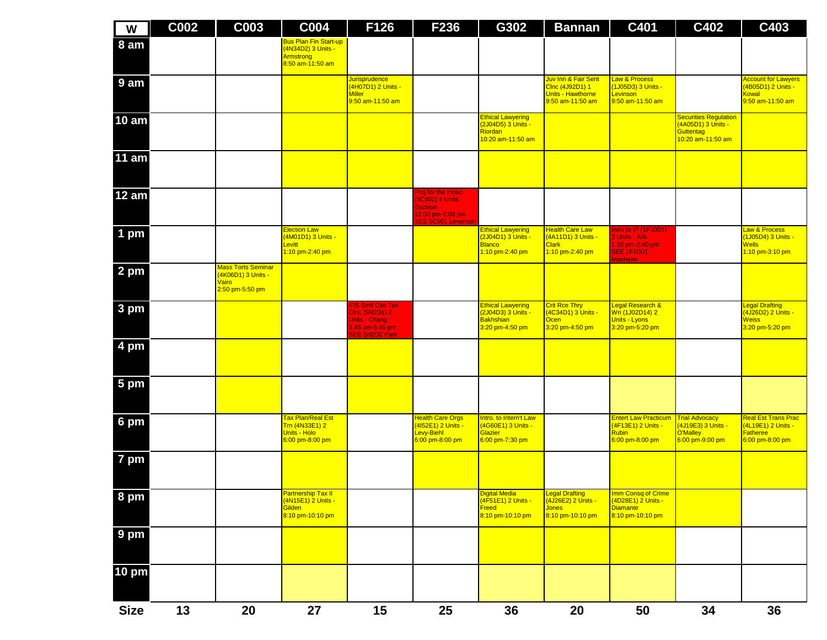| W              | C002 | C003                                                                        | C004                                                                                  | F126                                                                                           | F236                                                                                       | G302                                                                                  | <b>Bannan</b>                                                                          | C401                                                                                            | C402                                                                                 | C403                                                                                 |
|----------------|------|-----------------------------------------------------------------------------|---------------------------------------------------------------------------------------|------------------------------------------------------------------------------------------------|--------------------------------------------------------------------------------------------|---------------------------------------------------------------------------------------|----------------------------------------------------------------------------------------|-------------------------------------------------------------------------------------------------|--------------------------------------------------------------------------------------|--------------------------------------------------------------------------------------|
| 8 am           |      |                                                                             | <b>Bus Plan Fin Start-up</b><br>(4N34D2) 3 Units -<br>Armstrong<br>$8:50$ am-11:50 am |                                                                                                |                                                                                            |                                                                                       |                                                                                        |                                                                                                 |                                                                                      |                                                                                      |
| 9 am           |      |                                                                             |                                                                                       | Jurisprudence<br>(4H07D1) 2 Units -<br><b>Miller</b><br>9:50 am-11:50 am                       |                                                                                            |                                                                                       | Juv Inn & Fair Sent<br>Cinc (4J92D1) 1<br><b>Units - Hawthorne</b><br>9:50 am-11:50 am | Law & Process<br>(1J05D3) 3 Units -<br>Levinson<br>9:50 am-11:50 am                             |                                                                                      | <b>Account for Lawyers</b><br>(4B05D1) 2 Units -<br><b>Kowal</b><br>9:50 am-11:50 am |
| <b>10 am</b>   |      |                                                                             |                                                                                       |                                                                                                |                                                                                            | <b>Ethical Lawyering</b><br>(2J04D5) 3 Units -<br>Riordan<br>10:20 am-11:50 am        |                                                                                        |                                                                                                 | <b>Securities Regulation</b><br>(4A05D1) 3 Units -<br>Guttentag<br>10:20 am-11:50 am |                                                                                      |
| 11 am          |      |                                                                             |                                                                                       |                                                                                                |                                                                                            |                                                                                       |                                                                                        |                                                                                                 |                                                                                      |                                                                                      |
| <b>12 am</b>   |      |                                                                             |                                                                                       |                                                                                                | Proj for the Innoc<br>5C502) 4 Units -<br>Bazelon<br>2:00 pm-2:00 pm<br>SEE 5C501 Levensor |                                                                                       |                                                                                        |                                                                                                 |                                                                                      |                                                                                      |
| 1 pm           |      |                                                                             | Election Law<br>(4M01D1) 3 Units -<br>Levitt<br>1:10 pm-2:40 pm                       |                                                                                                |                                                                                            | <b>Ethical Lawyering</b><br>(2J04D1) 3 Units -<br><b>Blanco</b><br>1:10 pm-2:40 pm    | <b>Health Care Law</b><br>(4A11D1) 3 Units -<br><b>Clark</b><br>1:10 pm-2:40 pm        | ntro to IP (1F10D1)<br>3 Units - Atik<br>1:10 pm-2:40 pm<br><b>SEE 1F10D1</b><br><b>Manheim</b> |                                                                                      | Law & Process<br>(1J05D4) 3 Units -<br><b>Wells</b><br>$1:10$ pm-3:10 pm             |
| $2 \text{ pm}$ |      | <b>Mass Torts Seminar</b><br>(4K06D1) 3 Units -<br>Vairo<br>2:50 pm-5:50 pm |                                                                                       |                                                                                                |                                                                                            |                                                                                       |                                                                                        |                                                                                                 |                                                                                      |                                                                                      |
| 3 pm           |      |                                                                             |                                                                                       | <b>RS Smll Cse Tax</b><br>Cinc (5N2D1) 2<br>Units - Chang<br>3:45 pm-5:45 pm<br>SEE 5N2D2 Park |                                                                                            | <b>Ethical Lawyering</b><br>(2J04D3) 3 Units -<br><b>Bakhshian</b><br>3:20 pm-4:50 pm | Crit Rce Thry<br>(4C34D1) 3 Units -<br>Ocen<br>3:20 pm-4:50 pm                         | <b>Legal Research &amp;</b><br>Wri (1J02D14) 2<br>Units - Lyons<br>3:20 pm-5:20 pm              |                                                                                      | Legal Drafting<br>(4J26D2) 2 Units -<br><b>Weiss</b><br>3:20 pm-5:20 pm              |
| 4 pm           |      |                                                                             |                                                                                       |                                                                                                |                                                                                            |                                                                                       |                                                                                        |                                                                                                 |                                                                                      |                                                                                      |
| 5 pm           |      |                                                                             |                                                                                       |                                                                                                |                                                                                            |                                                                                       |                                                                                        |                                                                                                 |                                                                                      |                                                                                      |
| 6 pm           |      |                                                                             | Tax Plan/Real Est<br>Trn (4N33E1) 2<br>Units - Holo<br>6:00 pm-8:00 pm                |                                                                                                | <b>Health Care Orgs</b><br>(4152E1) 2 Units -<br>Levy-Biehl<br>6:00 pm-8:00 pm             | Intro. to Intern't Law<br>(4G60E1) 3 Units -<br>Glazier<br>6:00 pm-7:30 pm            |                                                                                        | Entert Law Practicum<br>(4F13E1) 2 Units -<br><b>Rubin</b><br>6:00 pm-8:00 pm                   | <b>Trial Advocacy</b><br>(4J19E3) 3 Units -<br>O'Malley<br>6:00 pm-9:00 pm           | Real Est Trans Prac<br>(4L19E1) 2 Units -<br><b>Fatheree</b><br>6:00 pm-8:00 pm      |
| 7 pm           |      |                                                                             |                                                                                       |                                                                                                |                                                                                            |                                                                                       |                                                                                        |                                                                                                 |                                                                                      |                                                                                      |
| 8 pm           |      |                                                                             | <b>Partnership Tax II</b><br>(4N15E1) 2 Units -<br>Gilden<br>8:10 pm-10:10 pm         |                                                                                                |                                                                                            | <b>Digital Media</b><br><u>(4F51E1) 2 Units -</u><br>Freed<br>8:10 pm-10:10 pm        | <b>Legal Drafting</b><br>(4J26E2) 2 Units -<br><b>Jones</b><br>8:10 pm-10:10 pm        | Imm Consq of Crime<br>(4D28E1) 2 Units -<br><b>Diamante</b><br>8:10 pm-10:10 pm                 |                                                                                      |                                                                                      |
| 9 pm           |      |                                                                             |                                                                                       |                                                                                                |                                                                                            |                                                                                       |                                                                                        |                                                                                                 |                                                                                      |                                                                                      |
| 10 pm          |      |                                                                             |                                                                                       |                                                                                                |                                                                                            |                                                                                       |                                                                                        |                                                                                                 |                                                                                      |                                                                                      |
| <b>Size</b>    | 13   | 20                                                                          | 27                                                                                    | 15                                                                                             | 25                                                                                         | 36                                                                                    | 20                                                                                     | 50                                                                                              | 34                                                                                   | 36                                                                                   |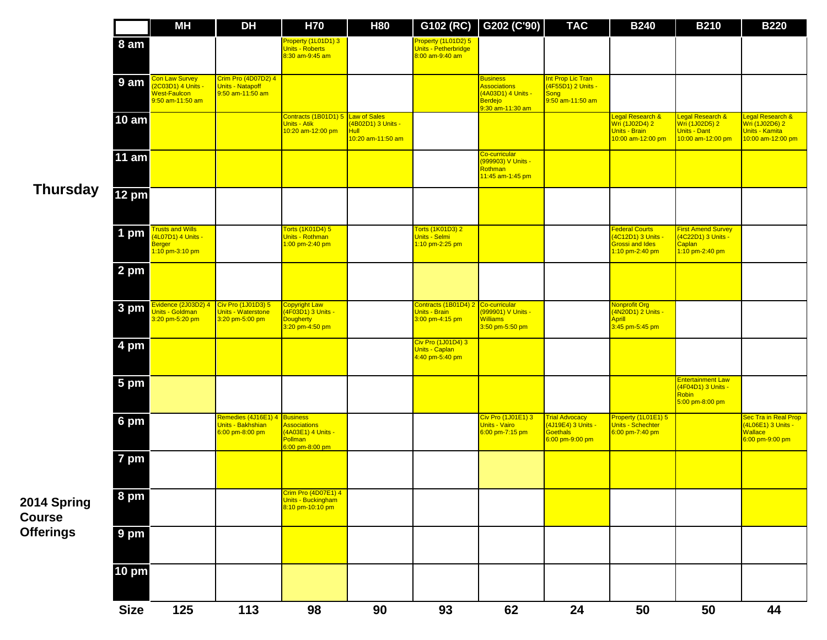|                              |                 | <b>MH</b>                                                                  | <b>DH</b>                                                          | H70                                                                                               | <b>H80</b>                                      |                                                                        | $G102 (RC)$ G202 (C'90)                                                                            | <b>TAC</b>                                                                 | <b>B240</b>                                                                         | <b>B210</b>                                                                        | <b>B220</b>                                                               |
|------------------------------|-----------------|----------------------------------------------------------------------------|--------------------------------------------------------------------|---------------------------------------------------------------------------------------------------|-------------------------------------------------|------------------------------------------------------------------------|----------------------------------------------------------------------------------------------------|----------------------------------------------------------------------------|-------------------------------------------------------------------------------------|------------------------------------------------------------------------------------|---------------------------------------------------------------------------|
|                              | 8 am            |                                                                            |                                                                    | Property (1L01D1) 3<br>Units - Roberts<br>8:30 am-9:45 am                                         |                                                 | Property (1L01D2) 5<br>Units - Petherbridge<br>8:00 am-9:40 am         |                                                                                                    |                                                                            |                                                                                     |                                                                                    |                                                                           |
|                              | 9 <sub>am</sub> | Con Law Survey<br>(2C03D1) 4 Units -<br>West-Faulcon<br>9:50 am-11:50 am   | Crim Pro (4D07D2) 4<br><b>Units - Natapoff</b><br>9:50 am-11:50 am |                                                                                                   |                                                 |                                                                        | <b>Business</b><br><b>Associations</b><br>(4A03D1) 4 Units -<br><b>Berdejo</b><br>9:30 am-11:30 am | Int Prop Lic Tran<br>(4F55D1) 2 Units -<br>Song<br>9:50 am-11:50 am        |                                                                                     |                                                                                    |                                                                           |
|                              | <b>10 am</b>    |                                                                            |                                                                    | Contracts (1B01D1) 5 Law of Sales<br>Units - Atik<br>10:20 am-12:00 pm                            | (4B02D1) 3 Units -<br>Hull<br>10:20 am-11:50 am |                                                                        |                                                                                                    |                                                                            | <b>Legal Research &amp;</b><br>Wri (1J02D4) 2<br>Units - Brain<br>10:00 am-12:00 pm | <b>Legal Research &amp;</b><br>Wri (1J02D5) 2<br>Units - Dant<br>10:00 am-12:00 pm | Legal Research &<br>Wri (1J02D6) 2<br>Units - Kamita<br>10:00 am-12:00 pm |
|                              | <b>11 am</b>    |                                                                            |                                                                    |                                                                                                   |                                                 |                                                                        | Co-curricular<br>(999903) V Units -<br>Rothman<br>11:45 am-1:45 pm                                 |                                                                            |                                                                                     |                                                                                    |                                                                           |
| <b>Thursday</b>              | <b>12 pm</b>    |                                                                            |                                                                    |                                                                                                   |                                                 |                                                                        |                                                                                                    |                                                                            |                                                                                     |                                                                                    |                                                                           |
|                              | 1 pm            | <b>Trusts and Wills</b><br>(4L07D1) 4 Units -<br>Berger<br>1:10 pm-3:10 pm |                                                                    | Torts (1K01D4) 5<br>Units - Rothman<br>1:00 pm-2:40 pm                                            |                                                 | Forts (1K01D3) 2<br>Units - Selmi<br>1:10 pm-2:25 pm                   |                                                                                                    |                                                                            | Federal Courts<br>(4C12D1) 3 Units -<br><b>Grossi and Ides</b><br>1:10 pm-2:40 pm   | <b>First Amend Survey</b><br>(4C22D1) 3 Units -<br>Caplan<br>1:10 pm-2:40 pm       |                                                                           |
|                              | 2 pm            |                                                                            |                                                                    |                                                                                                   |                                                 |                                                                        |                                                                                                    |                                                                            |                                                                                     |                                                                                    |                                                                           |
|                              | 3 pm            | Evidence (2J03D2) 4<br>Units - Goldman<br>3:20 pm-5:20 pm                  | Civ Pro (1J01D3) 5<br><b>Units - Waterstone</b><br>3:20 pm-5:00 pm | <b>Copyright Law</b><br>(4F03D1) 3 Units -<br><b>Dougherty</b><br>3:20 pm-4:50 pm                 |                                                 | Contracts (1B01D4) 2 Co-curricular<br>Units - Brain<br>3:00 pm-4:15 pm | (999901) V Units -<br><b>Williams</b><br>3:50 pm-5:50 pm                                           |                                                                            | Nonprofit Org<br>(4N20D1) 2 Units -<br><b>Aprill</b><br>3:45 pm-5:45 pm             |                                                                                    |                                                                           |
|                              | 4 pm            |                                                                            |                                                                    |                                                                                                   |                                                 | Civ Pro (1J01D4) 3<br>Units - Caplan<br>4:40 pm-5:40 pm                |                                                                                                    |                                                                            |                                                                                     |                                                                                    |                                                                           |
|                              | 5 pm            |                                                                            |                                                                    |                                                                                                   |                                                 |                                                                        |                                                                                                    |                                                                            |                                                                                     | <b>Entertainment Law</b><br>(4F04D1) 3 Units -<br>Robin<br>5:00 pm-8:00 pm         |                                                                           |
|                              | 6 pm            |                                                                            | Remedies (4J16E1)<br>Units - Bakhshian<br>6:00 pm-8:00 pm          | <b>Business</b><br><b>Associations</b><br>(4A03E1) 4 Units -<br><b>Pollman</b><br>6:00 pm-8:00 pm |                                                 |                                                                        | Civ Pro (1J01E1) 3<br><b>Units - Vairo</b><br>6:00 pm-7:15 pm                                      | <b>Trial Advocacy</b><br>(4J19E4) 3 Units -<br>Goethals<br>6:00 pm-9:00 pm | Property (1L01E1) 5<br>Units - Schechter<br>6:00 pm-7:40 pm                         |                                                                                    | Sec Tra in Real Prop<br>(4L06E1) 3 Units -<br>Wallace<br>6:00 pm-9:00 pm  |
|                              | 7 pm            |                                                                            |                                                                    | Crim Pro (4D07E1) 4                                                                               |                                                 |                                                                        |                                                                                                    |                                                                            |                                                                                     |                                                                                    |                                                                           |
| 2014 Spring<br><b>Course</b> | 8 pm            |                                                                            |                                                                    | Units - Buckingham<br>8:10 pm-10:10 pm                                                            |                                                 |                                                                        |                                                                                                    |                                                                            |                                                                                     |                                                                                    |                                                                           |
| <b>Offerings</b>             | 9 pm            |                                                                            |                                                                    |                                                                                                   |                                                 |                                                                        |                                                                                                    |                                                                            |                                                                                     |                                                                                    |                                                                           |
|                              | <b>10 pm</b>    |                                                                            |                                                                    |                                                                                                   |                                                 |                                                                        |                                                                                                    |                                                                            |                                                                                     |                                                                                    |                                                                           |
|                              | <b>Size</b>     | 125                                                                        | 113                                                                | 98                                                                                                | 90                                              | 93                                                                     | 62                                                                                                 | 24                                                                         | 50                                                                                  | 50                                                                                 | 44                                                                        |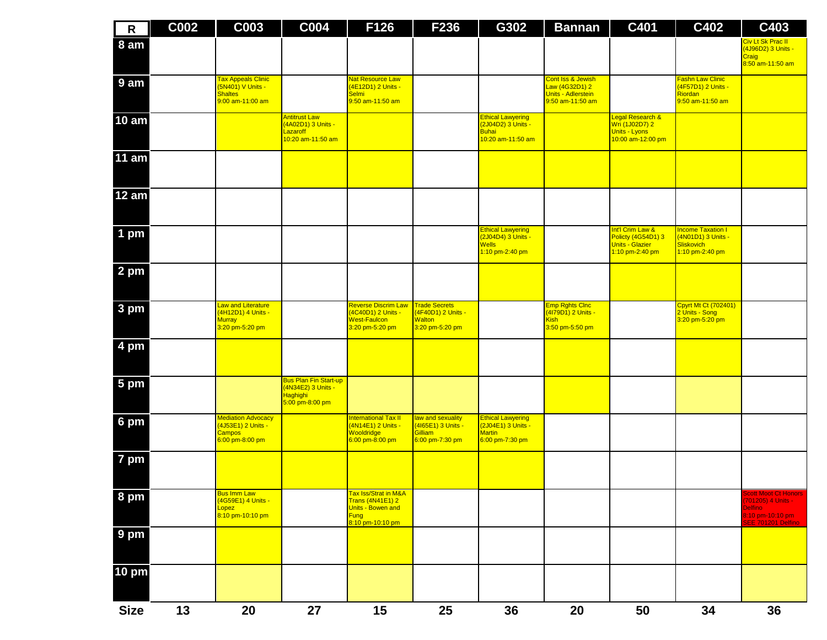| $\mathsf{R}$ | C002 | C003                                                                                   | <b>C004</b>                                                                              | F126                                                                                      | F236                                                                           | G302                                                                                | <b>Bannan</b>                                                                        | C401                                                                                | C402                                                                                   | C403                                                                                                          |
|--------------|------|----------------------------------------------------------------------------------------|------------------------------------------------------------------------------------------|-------------------------------------------------------------------------------------------|--------------------------------------------------------------------------------|-------------------------------------------------------------------------------------|--------------------------------------------------------------------------------------|-------------------------------------------------------------------------------------|----------------------------------------------------------------------------------------|---------------------------------------------------------------------------------------------------------------|
| 8 am         |      |                                                                                        |                                                                                          |                                                                                           |                                                                                |                                                                                     |                                                                                      |                                                                                     |                                                                                        | Civ Lt Sk Prac II<br>(4J96D2) 3 Units -<br>Craig<br>8:50 am-11:50 am                                          |
| 9 am         |      | <b>Tax Appeals Clinic</b><br>(5N401) V Units -<br><b>Shaltes</b><br>$9:00$ am-11:00 am |                                                                                          | Nat Resource Law<br>(4E12D1) 2 Units -<br>Selmi<br>9:50 am-11:50 am                       |                                                                                |                                                                                     | Cont Iss & Jewish<br>Law (4G32D1) 2<br><b>Units - Adlerstein</b><br>9:50 am-11:50 am |                                                                                     | Fashn Law Clinic<br>(4F57D1) 2 Units -<br>Riordan<br>9:50 am-11:50 am                  |                                                                                                               |
| <b>10 am</b> |      |                                                                                        | Antitrust Law<br>(4A02D1) 3 Units -<br>Lazaroff<br>10:20 am-11:50 am                     |                                                                                           |                                                                                | <b>Ethical Lawyering</b><br>(2J04D2) 3 Units -<br><b>Buhai</b><br>10:20 am-11:50 am |                                                                                      | Legal Research &<br>Wri (1J02D7) 2<br>Units - Lyons<br>10:00 am-12:00 pm            |                                                                                        |                                                                                                               |
| 11 am        |      |                                                                                        |                                                                                          |                                                                                           |                                                                                |                                                                                     |                                                                                      |                                                                                     |                                                                                        |                                                                                                               |
| <b>12 am</b> |      |                                                                                        |                                                                                          |                                                                                           |                                                                                |                                                                                     |                                                                                      |                                                                                     |                                                                                        |                                                                                                               |
| 1 pm         |      |                                                                                        |                                                                                          |                                                                                           |                                                                                | <b>Ethical Lawyering</b><br>(2J04D4) 3 Units -<br><b>Wells</b><br>1:10 pm-2:40 pm   |                                                                                      | Int'l Crim Law &<br>Policty (4G54D1) 3<br><b>Units - Glazier</b><br>1:10 pm-2:40 pm | <b>Income Taxation I</b><br>(4N01D1) 3 Units -<br><b>Sliskovich</b><br>1:10 pm-2:40 pm |                                                                                                               |
| 2 pm         |      |                                                                                        |                                                                                          |                                                                                           |                                                                                |                                                                                     |                                                                                      |                                                                                     |                                                                                        |                                                                                                               |
| 3 pm         |      | <b>Law and Literature</b><br>(4H12D1) 4 Units -<br>Murray<br>3:20 pm-5:20 pm           |                                                                                          | Reverse Discrim Law<br>(4C40D1) 2 Units -<br>West-Faulcon<br>3:20 pm-5:20 pm              | <b>Trade Secrets</b><br>(4F40D1) 2 Units -<br><b>Walton</b><br>3:20 pm-5:20 pm |                                                                                     | Emp Rghts Clnc<br>$\frac{21}{(4179D1)}$ 2 Units -<br><b>Kish</b><br>3:50 pm-5:50 pm  |                                                                                     | <b>Cpyrt Mt Ct (702401)</b><br>2 Units - Song<br>3:20 pm-5:20 pm                       |                                                                                                               |
| 4 pm         |      |                                                                                        |                                                                                          |                                                                                           |                                                                                |                                                                                     |                                                                                      |                                                                                     |                                                                                        |                                                                                                               |
| 5 pm         |      |                                                                                        | <b>Bus Plan Fin Start-up</b><br>(4N34E2) 3 Units -<br><b>Haghighi</b><br>5:00 pm-8:00 pm |                                                                                           |                                                                                |                                                                                     |                                                                                      |                                                                                     |                                                                                        |                                                                                                               |
| 6 pm         |      | <b>Mediation Advocacy</b><br>(4J53E1) 2 Units -<br><b>Campos</b><br>6:00 pm-8:00 pm    |                                                                                          | <b>International Tax II</b><br>(4N14E1) 2 Units -<br>Wooldridge<br>6:00 pm-8:00 pm        | law and sexuality<br>(4165E1) 3 Units -<br>Gilliam<br>6:00 pm-7:30 pm          | <b>Ethical Lawyering</b><br>(2J04E1) 3 Units -<br><b>Martin</b><br>6:00 pm-7:30 pm  |                                                                                      |                                                                                     |                                                                                        |                                                                                                               |
| 7 pm         |      |                                                                                        |                                                                                          |                                                                                           |                                                                                |                                                                                     |                                                                                      |                                                                                     |                                                                                        |                                                                                                               |
| 8 pm         |      | <b>Bus Imm Law</b><br>(4G59E1) 4 Units -<br>Lopez <sub>k</sub><br>8:10 pm-10:10 pm     |                                                                                          | Tax Iss/Strat in M&A<br>Trans (4N41E1) 2<br>Units - Bowen and<br>Fung<br>8:10 pm-10:10 pm |                                                                                |                                                                                     |                                                                                      |                                                                                     |                                                                                        | <b>Scott Moot Ct Honors</b><br>(701205) 4 Units -<br><b>Delfino</b><br>8:10 pm-10:10 pm<br>SEE 701201 Delfino |
| 9 pm         |      |                                                                                        |                                                                                          |                                                                                           |                                                                                |                                                                                     |                                                                                      |                                                                                     |                                                                                        |                                                                                                               |
| 10 pm        |      |                                                                                        |                                                                                          |                                                                                           |                                                                                |                                                                                     |                                                                                      |                                                                                     |                                                                                        |                                                                                                               |
| <b>Size</b>  | 13   | 20                                                                                     | 27                                                                                       | 15                                                                                        | 25                                                                             | 36                                                                                  | 20                                                                                   | 50                                                                                  | 34                                                                                     | 36                                                                                                            |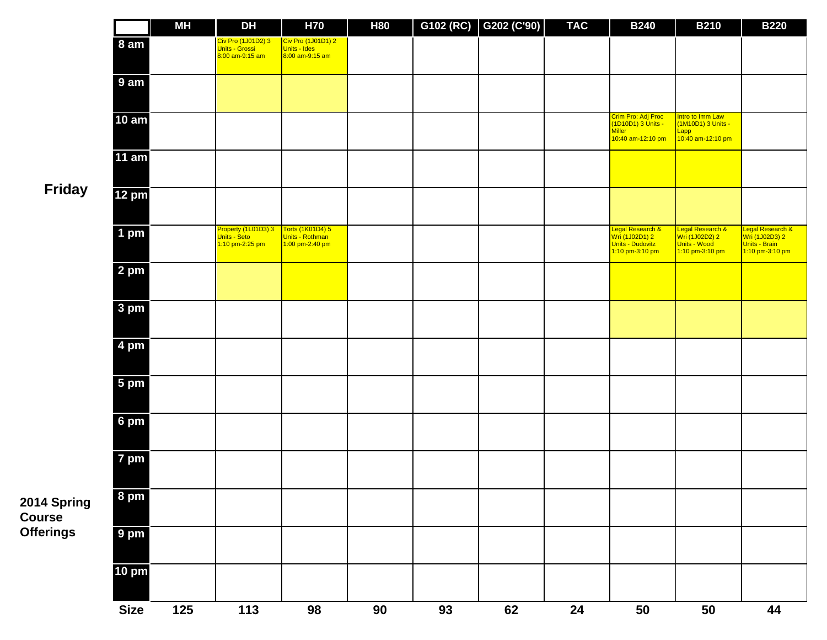|                              |                    | <b>MH</b> | <b>DH</b>                                               | <b>H70</b>                                             | <b>H80</b> |    | G102 (RC) G202 (C'90) | <b>TAC</b> | <b>B240</b>                                                                    | <b>B210</b>                                                                                     | <b>B220</b>                                                            |
|------------------------------|--------------------|-----------|---------------------------------------------------------|--------------------------------------------------------|------------|----|-----------------------|------------|--------------------------------------------------------------------------------|-------------------------------------------------------------------------------------------------|------------------------------------------------------------------------|
|                              | 8 am               |           | Civ Pro (1J01D2) 3<br>Units - Grossi<br>8:00 am-9:15 am | Civ Pro (1J01D1) 2<br>Units - Ides<br>8:00 am-9:15 am  |            |    |                       |            |                                                                                |                                                                                                 |                                                                        |
|                              | 9 am               |           |                                                         |                                                        |            |    |                       |            |                                                                                |                                                                                                 |                                                                        |
|                              | 10 am              |           |                                                         |                                                        |            |    |                       |            | Crim Pro: Adj Proc<br>(1D10D1) 3 Units -<br><b>Miller</b><br>10:40 am-12:10 pm | Intro to Imm Law<br>(1M10D1) 3 Units -<br><mark>Lapp (</mark><br><mark>10:40 am-12:10 pm</mark> |                                                                        |
|                              | <b>11 am</b>       |           |                                                         |                                                        |            |    |                       |            |                                                                                |                                                                                                 |                                                                        |
| <b>Friday</b>                | $\overline{12}$ pm |           |                                                         |                                                        |            |    |                       |            |                                                                                |                                                                                                 |                                                                        |
|                              | 1 pm               |           | Property (1L01D3) 3<br>Units - Seto<br>1:10 pm-2:25 pm  | Torts (1K01D4) 5<br>Units - Rothman<br>1:00 pm-2:40 pm |            |    |                       |            | Legal Research &<br>Wri (1J02D1) 2<br>Units - Dudovitz<br>1:10 pm-3:10 pm      | Legal Research &<br>Wri (1J02D2) 2<br>Units - Wood<br>1:10 pm-3:10 pm                           | Legal Research &<br>Wri (1J02D3) 2<br>Units - Brain<br>1:10 pm-3:10 pm |
|                              | 2 pm               |           |                                                         |                                                        |            |    |                       |            |                                                                                |                                                                                                 |                                                                        |
|                              | 3 pm               |           |                                                         |                                                        |            |    |                       |            |                                                                                |                                                                                                 |                                                                        |
|                              | 4 pm               |           |                                                         |                                                        |            |    |                       |            |                                                                                |                                                                                                 |                                                                        |
|                              | $5 \text{ pm}$     |           |                                                         |                                                        |            |    |                       |            |                                                                                |                                                                                                 |                                                                        |
|                              | 6 pm               |           |                                                         |                                                        |            |    |                       |            |                                                                                |                                                                                                 |                                                                        |
|                              | 7 pm               |           |                                                         |                                                        |            |    |                       |            |                                                                                |                                                                                                 |                                                                        |
| 2014 Spring<br><b>Course</b> | 8 pm               |           |                                                         |                                                        |            |    |                       |            |                                                                                |                                                                                                 |                                                                        |
| <b>Offerings</b>             | 9 pm               |           |                                                         |                                                        |            |    |                       |            |                                                                                |                                                                                                 |                                                                        |
|                              | <b>10 pm</b>       |           |                                                         |                                                        |            |    |                       |            |                                                                                |                                                                                                 |                                                                        |
|                              | <b>Size</b>        | 125       | 113                                                     | 98                                                     | 90         | 93 | 62                    | 24         | 50                                                                             | 50                                                                                              | 44                                                                     |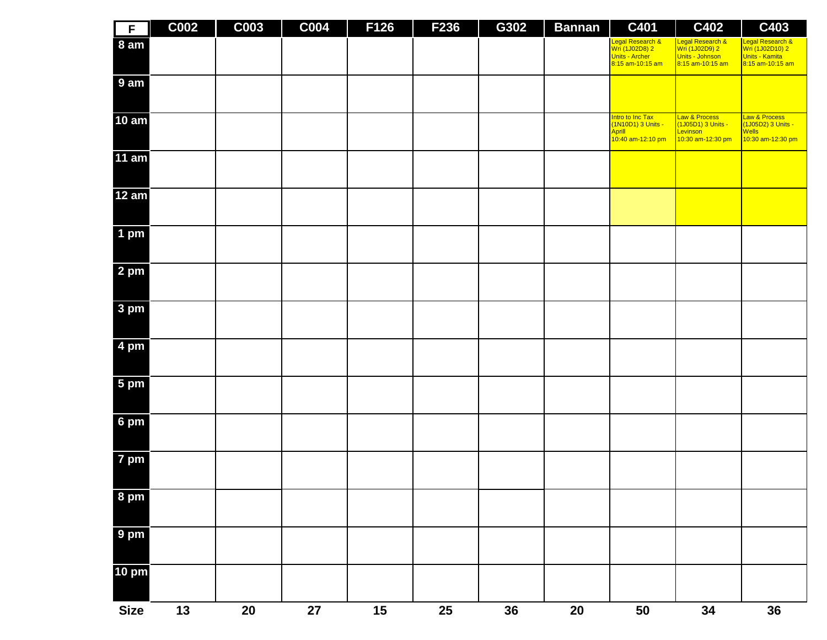| $\overline{F}$ | C002 | <b>C003</b> | <b>C004</b> | F126 | F236 | G302 | <b>Bannan</b> | C401                                                                     | C402                                                                      | C403                                                                      |
|----------------|------|-------------|-------------|------|------|------|---------------|--------------------------------------------------------------------------|---------------------------------------------------------------------------|---------------------------------------------------------------------------|
| 8 am           |      |             |             |      |      |      |               | Legal Research &<br>Wri (1J02D8) 2<br>Units - Archer<br>8:15 am-10:15 am | Legal Research &<br>Wri (1J02D9) 2<br>Units - Johnson<br>8:15 am-10:15 am | Legal Research &<br>Wri (1J02D10) 2<br>Units - Kamita<br>8:15 am-10:15 am |
| 9 am           |      |             |             |      |      |      |               |                                                                          |                                                                           |                                                                           |
| 10 am          |      |             |             |      |      |      |               | Intro to Inc Tax<br>(1N10D1) 3 Units -<br>Aprill<br>10:40 am-12:10 pm    | Law & Process<br>(1J05D1) 3 Units -<br>Levinson<br>10:30 am-12:30 pm      | Law & Process<br>(1J05D2) 3 Units -<br><b>Wells</b><br>10:30 am-12:30 pm  |
| 11 am          |      |             |             |      |      |      |               |                                                                          |                                                                           |                                                                           |
| <b>12 am</b>   |      |             |             |      |      |      |               |                                                                          |                                                                           |                                                                           |
| 1 pm           |      |             |             |      |      |      |               |                                                                          |                                                                           |                                                                           |
| 2 pm           |      |             |             |      |      |      |               |                                                                          |                                                                           |                                                                           |
| 3 pm           |      |             |             |      |      |      |               |                                                                          |                                                                           |                                                                           |
| 4 pm           |      |             |             |      |      |      |               |                                                                          |                                                                           |                                                                           |
| 5 pm           |      |             |             |      |      |      |               |                                                                          |                                                                           |                                                                           |
| 6 pm           |      |             |             |      |      |      |               |                                                                          |                                                                           |                                                                           |
| 7 pm           |      |             |             |      |      |      |               |                                                                          |                                                                           |                                                                           |
| 8 pm           |      |             |             |      |      |      |               |                                                                          |                                                                           |                                                                           |
| 9 pm           |      |             |             |      |      |      |               |                                                                          |                                                                           |                                                                           |
| <b>10 pm</b>   |      |             |             |      |      |      |               |                                                                          |                                                                           |                                                                           |
| <b>Size</b>    | $13$ | $20\,$      | 27          | 15   | 25   | 36   | $20\,$        | 50                                                                       | 34                                                                        | 36                                                                        |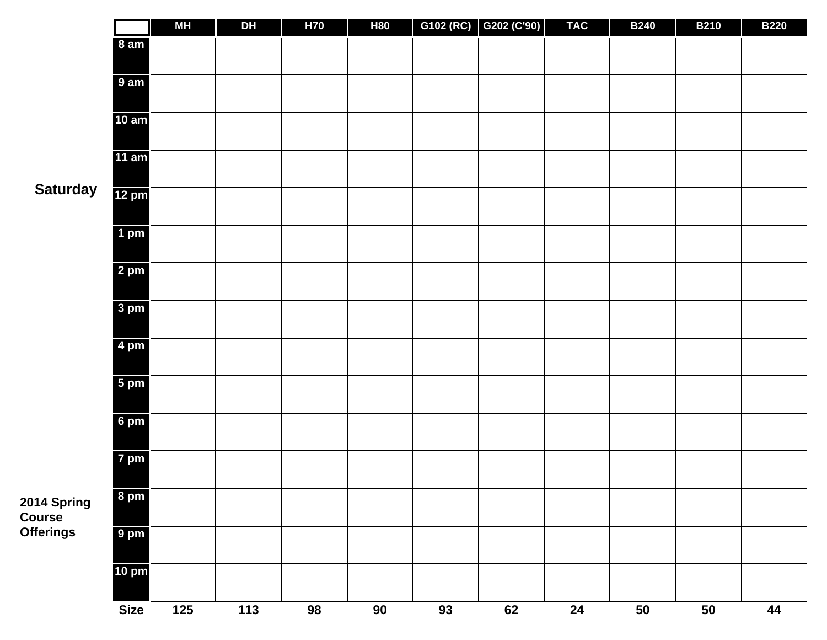|                                           |                 | <b>MH</b>        | <b>DH</b>        | H70 | <b>H80</b> | G102 (RC) | G202 (C'90) | <b>TAC</b> | <b>B240</b> | <b>B210</b> | <b>B220</b> |
|-------------------------------------------|-----------------|------------------|------------------|-----|------------|-----------|-------------|------------|-------------|-------------|-------------|
|                                           | 8 am            |                  |                  |     |            |           |             |            |             |             |             |
|                                           | 9am             |                  |                  |     |            |           |             |            |             |             |             |
|                                           | <b>10 am</b>    |                  |                  |     |            |           |             |            |             |             |             |
|                                           | 11 am           |                  |                  |     |            |           |             |            |             |             |             |
| <b>Saturday</b>                           | $12 \text{ pm}$ |                  |                  |     |            |           |             |            |             |             |             |
|                                           | 1 pm            |                  |                  |     |            |           |             |            |             |             |             |
|                                           | 2 pm            |                  |                  |     |            |           |             |            |             |             |             |
|                                           | 3 pm            |                  |                  |     |            |           |             |            |             |             |             |
|                                           | 4 pm            |                  |                  |     |            |           |             |            |             |             |             |
|                                           | 5 pm            |                  |                  |     |            |           |             |            |             |             |             |
|                                           | 6 pm            |                  |                  |     |            |           |             |            |             |             |             |
|                                           | 7 pm            |                  |                  |     |            |           |             |            |             |             |             |
| 2014 Spring<br>Course<br><b>Offerings</b> | 8 pm            |                  |                  |     |            |           |             |            |             |             |             |
|                                           | 9 pm            |                  |                  |     |            |           |             |            |             |             |             |
|                                           | <b>10 pm</b>    |                  |                  |     |            |           |             |            |             |             |             |
|                                           | <b>Size</b>     | $\overline{125}$ | $\overline{113}$ | 98  | 90         | 93        | 62          | 24         | 50          | 50          | 44          |